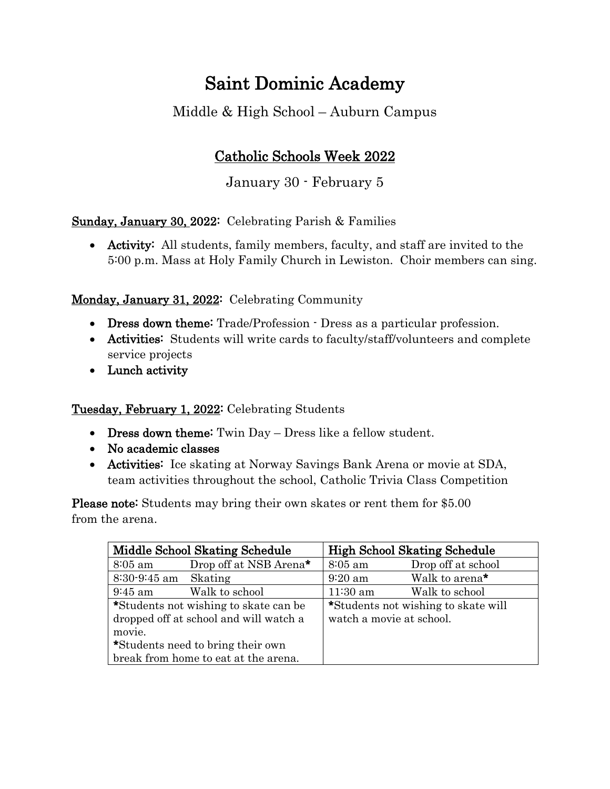## Saint Dominic Academy

Middle & High School – Auburn Campus

## Catholic Schools Week 2022

January 30 - February 5

Sunday, January 30, 2022: Celebrating Parish & Families

• Activity: All students, family members, faculty, and staff are invited to the 5:00 p.m. Mass at Holy Family Church in Lewiston. Choir members can sing.

## Monday, January 31, 2022: Celebrating Community

- Dress down theme: Trade/Profession · Dress as a particular profession.
- Activities: Students will write cards to faculty/staff/volunteers and complete service projects
- Lunch activity

Tuesday, February 1, 2022: Celebrating Students

- Dress down theme: Twin Day Dress like a fellow student.
- No academic classes
- **Activities:** Ice skating at Norway Savings Bank Arena or movie at SDA, team activities throughout the school, Catholic Trivia Class Competition

Please note: Students may bring their own skates or rent them for \$5.00 from the arena.

| Middle School Skating Schedule         |                                    | <b>High School Skating Schedule</b> |                            |
|----------------------------------------|------------------------------------|-------------------------------------|----------------------------|
| $8:05$ am                              | Drop off at NSB Arena <sup>*</sup> | $8:05$ am                           | Drop off at school         |
| $8:30-9:45$ am Skating                 |                                    | $9:20$ am                           | Walk to arena <sup>*</sup> |
| $9:45$ am                              | Walk to school                     | $11:30$ am                          | Walk to school             |
| *Students not wishing to skate can be  |                                    | *Students not wishing to skate will |                            |
| dropped off at school and will watch a |                                    | watch a movie at school.            |                            |
| movie.                                 |                                    |                                     |                            |
| *Students need to bring their own      |                                    |                                     |                            |
| break from home to eat at the arena.   |                                    |                                     |                            |